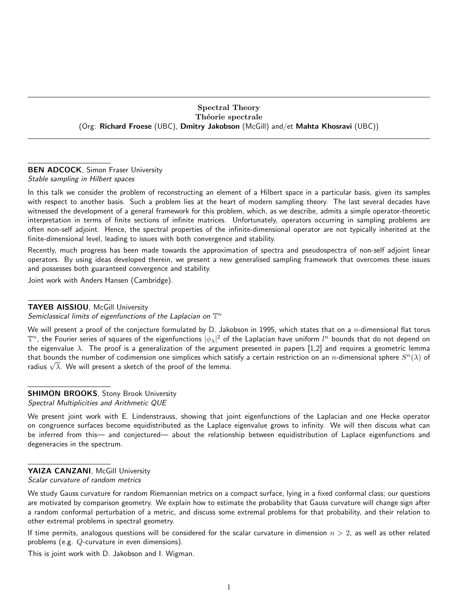#### Spectral Theory Théorie spectrale (Org: Richard Froese (UBC), Dmitry Jakobson (McGill) and/et Mahta Khosravi (UBC))

# BEN ADCOCK, Simon Fraser University

Stable sampling in Hilbert spaces

In this talk we consider the problem of reconstructing an element of a Hilbert space in a particular basis, given its samples with respect to another basis. Such a problem lies at the heart of modern sampling theory. The last several decades have witnessed the development of a general framework for this problem, which, as we describe, admits a simple operator-theoretic interpretation in terms of finite sections of infinite matrices. Unfortunately, operators occurring in sampling problems are often non-self adjoint. Hence, the spectral properties of the infinite-dimensional operator are not typically inherited at the finite-dimensional level, leading to issues with both convergence and stability.

Recently, much progress has been made towards the approximation of spectra and pseudospectra of non-self adjoint linear operators. By using ideas developed therein, we present a new generalised sampling framework that overcomes these issues and possesses both guaranteed convergence and stability.

Joint work with Anders Hansen (Cambridge).

#### TAYEB AISSIOU, McGill University

Semiclassical limits of eigenfunctions of the Laplacian on  $\mathbb{T}^n$ 

We will present a proof of the conjecture formulated by D. Jakobson in 1995, which states that on a n-dimensional flat torus  $\mathbb T^n$ , the Fourier series of squares of the eigenfunctions  $|\phi_\lambda|^2$  of the Laplacian have uniform  $l^n$  bounds that do not depend on the eigenvalue  $\lambda$ . The proof is a generalization of the argument presented in papers [1,2] and requires a geometric lemma that bounds the number of codimension one simplices which satisfy a certain restriction on an  $n$ -dimensional sphere  $S^n(\lambda)$  of  ${\mathfrak r}$ nat bounds the number or codimension one simplices which sate radius  $\sqrt{\lambda}.$  We will present a sketch of the proof of the lemma.

#### **SHIMON BROOKS, Stony Brook University** Spectral Multiplicities and Arithmetic QUE

We present joint work with E. Lindenstrauss, showing that joint eigenfunctions of the Laplacian and one Hecke operator on congruence surfaces become equidistributed as the Laplace eigenvalue grows to infinity. We will then discuss what can be inferred from this— and conjectured— about the relationship between equidistribution of Laplace eigenfunctions and degeneracies in the spectrum.

## YAIZA CANZANI, McGill University

Scalar curvature of random metrics

We study Gauss curvature for random Riemannian metrics on a compact surface, lying in a fixed conformal class; our questions are motivated by comparison geometry. We explain how to estimate the probability that Gauss curvature will change sign after a random conformal perturbation of a metric, and discuss some extremal problems for that probability, and their relation to other extremal problems in spectral geometry.

If time permits, analogous questions will be considered for the scalar curvature in dimension  $n > 2$ , as well as other related problems (e.g. Q-curvature in even dimensions).

This is joint work with D. Jakobson and I. Wigman.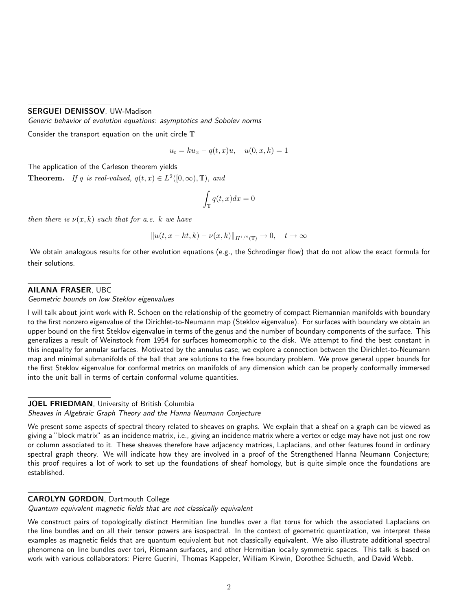## SERGUEI DENISSOV, UW-Madison

Generic behavior of evolution equations: asymptotics and Sobolev norms

Consider the transport equation on the unit circle  $\mathbb T$ 

$$
u_t = ku_x - q(t, x)u, \quad u(0, x, k) = 1
$$

The application of the Carleson theorem yields

**Theorem.** If q is real-valued,  $q(t, x) \in L^2([0, \infty), \mathbb{T})$ , and

$$
\int_{\mathbb{T}} q(t, x) dx = 0
$$

then there is  $\nu(x, k)$  such that for a.e. k we have

$$
||u(t, x-kt, k) - \nu(x, k)||_{H^{1/2}(\mathbb{T})} \to 0, \quad t \to \infty
$$

We obtain analogous results for other evolution equations (e.g., the Schrodinger flow) that do not allow the exact formula for their solutions.

#### AILANA FRASER, UBC

Geometric bounds on low Steklov eigenvalues

I will talk about joint work with R. Schoen on the relationship of the geometry of compact Riemannian manifolds with boundary to the first nonzero eigenvalue of the Dirichlet-to-Neumann map (Steklov eigenvalue). For surfaces with boundary we obtain an upper bound on the first Steklov eigenvalue in terms of the genus and the number of boundary components of the surface. This generalizes a result of Weinstock from 1954 for surfaces homeomorphic to the disk. We attempt to find the best constant in this inequality for annular surfaces. Motivated by the annulus case, we explore a connection between the Dirichlet-to-Neumann map and minimal submanifolds of the ball that are solutions to the free boundary problem. We prove general upper bounds for the first Steklov eigenvalue for conformal metrics on manifolds of any dimension which can be properly conformally immersed into the unit ball in terms of certain conformal volume quantities.

## JOEL FRIEDMAN, University of British Columbia

Sheaves in Algebraic Graph Theory and the Hanna Neumann Conjecture

We present some aspects of spectral theory related to sheaves on graphs. We explain that a sheaf on a graph can be viewed as giving a "block matrix" as an incidence matrix, i.e., giving an incidence matrix where a vertex or edge may have not just one row or column associated to it. These sheaves therefore have adjacency matrices, Laplacians, and other features found in ordinary spectral graph theory. We will indicate how they are involved in a proof of the Strengthened Hanna Neumann Conjecture; this proof requires a lot of work to set up the foundations of sheaf homology, but is quite simple once the foundations are established.

#### CAROLYN GORDON, Dartmouth College

Quantum equivalent magnetic fields that are not classically equivalent

We construct pairs of topologically distinct Hermitian line bundles over a flat torus for which the associated Laplacians on the line bundles and on all their tensor powers are isospectral. In the context of geometric quantization, we interpret these examples as magnetic fields that are quantum equivalent but not classically equivalent. We also illustrate additional spectral phenomena on line bundles over tori, Riemann surfaces, and other Hermitian locally symmetric spaces. This talk is based on work with various collaborators: Pierre Guerini, Thomas Kappeler, William Kirwin, Dorothee Schueth, and David Webb.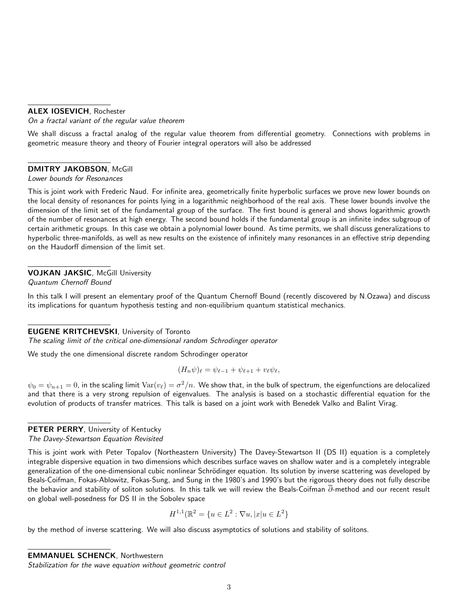#### ALEX IOSEVICH, Rochester

On a fractal variant of the regular value theorem

We shall discuss a fractal analog of the regular value theorem from differential geometry. Connections with problems in geometric measure theory and theory of Fourier integral operators will also be addressed

#### DMITRY JAKOBSON, McGill

Lower bounds for Resonances

This is joint work with Frederic Naud. For infinite area, geometrically finite hyperbolic surfaces we prove new lower bounds on the local density of resonances for points lying in a logarithmic neighborhood of the real axis. These lower bounds involve the dimension of the limit set of the fundamental group of the surface. The first bound is general and shows logarithmic growth of the number of resonances at high energy. The second bound holds if the fundamental group is an infinite index subgroup of certain arithmetic groups. In this case we obtain a polynomial lower bound. As time permits, we shall discuss generalizations to hyperbolic three-manifolds, as well as new results on the existence of infinitely many resonances in an effective strip depending on the Haudorff dimension of the limit set.

#### VOJKAN JAKSIC, McGill University

Quantum Chernoff Bound

In this talk I will present an elementary proof of the Quantum Chernoff Bound (recently discovered by N.Ozawa) and discuss its implications for quantum hypothesis testing and non-equilibrium quantum statistical mechanics.

#### EUGENE KRITCHEVSKI, University of Toronto

The scaling limit of the critical one-dimensional random Schrodinger operator

We study the one dimensional discrete random Schrodinger operator

$$
(H_n\psi)_\ell = \psi_{\ell-1} + \psi_{\ell+1} + v_\ell\psi_\ell,
$$

 $\psi_0=\psi_{n+1}=0$ , in the scaling limit  $\text{Var}(v_\ell)=\sigma^2/n.$  We show that, in the bulk of spectrum, the eigenfunctions are delocalized and that there is a very strong repulsion of eigenvalues. The analysis is based on a stochastic differential equation for the evolution of products of transfer matrices. This talk is based on a joint work with Benedek Valko and Balint Virag.

#### PETER PERRY, University of Kentucky

The Davey-Stewartson Equation Revisited

This is joint work with Peter Topalov (Northeastern University) The Davey-Stewartson II (DS II) equation is a completely integrable dispersive equation in two dimensions which describes surface waves on shallow water and is a completely integrable generalization of the one-dimensional cubic nonlinear Schrödinger equation. Its solution by inverse scattering was developed by Beals-Coifman, Fokas-Ablowitz, Fokas-Sung, and Sung in the 1980's and 1990's but the rigorous theory does not fully describe the behavior and stability of soliton solutions. In this talk we will review the Beals-Coifman  $\overline{\partial}$ -method and our recent result on global well-posedness for DS II in the Sobolev space

$$
H^{1,1}(\mathbb{R}^2 = \{u \in L^2 : \nabla u, |x|u \in L^2\}
$$

by the method of inverse scattering. We will also discuss asymptotics of solutions and stability of solitons.

#### EMMANUEL SCHENCK, Northwestern

Stabilization for the wave equation without geometric control